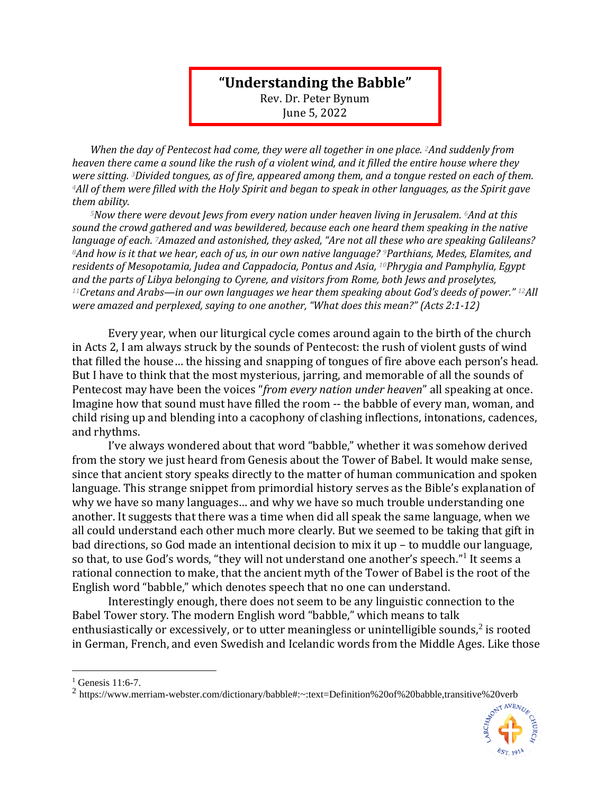## **"Understanding the Babble"**

Rev. Dr. Peter Bynum June 5, 2022

*When the day of Pentecost had come, they were all together in one place. 2And suddenly from heaven there came a sound like the rush of a violent wind, and it filled the entire house where they were sitting. 3Divided tongues, as of fire, appeared among them, and a tongue rested on each of them. <sup>4</sup>All of them were filled with the Holy Spirit and began to speak in other languages, as the Spirit gave them ability.* 

*<sup>5</sup>Now there were devout Jews from every nation under heaven living in Jerusalem. 6And at this sound the crowd gathered and was bewildered, because each one heard them speaking in the native language of each. 7Amazed and astonished, they asked, "Are not all these who are speaking Galileans? <sup>8</sup>And how is it that we hear, each of us, in our own native language? 9Parthians, Medes, Elamites, and residents of Mesopotamia, Judea and Cappadocia, Pontus and Asia, 10Phrygia and Pamphylia, Egypt and the parts of Libya belonging to Cyrene, and visitors from Rome, both Jews and proselytes, <sup>11</sup>Cretans and Arabs—in our own languages we hear them speaking about God's deeds of power." 12All were amazed and perplexed, saying to one another, "What does this mean?" (Acts 2:1-12)*

Every year, when our liturgical cycle comes around again to the birth of the church in Acts 2, I am always struck by the sounds of Pentecost: the rush of violent gusts of wind that filled the house… the hissing and snapping of tongues of fire above each person's head. But I have to think that the most mysterious, jarring, and memorable of all the sounds of Pentecost may have been the voices "*from every nation under heaven*" all speaking at once. Imagine how that sound must have filled the room -- the babble of every man, woman, and child rising up and blending into a cacophony of clashing inflections, intonations, cadences, and rhythms.

I've always wondered about that word "babble," whether it was somehow derived from the story we just heard from Genesis about the Tower of Babel. It would make sense, since that ancient story speaks directly to the matter of human communication and spoken language. This strange snippet from primordial history serves as the Bible's explanation of why we have so many languages… and why we have so much trouble understanding one another. It suggests that there was a time when did all speak the same language, when we all could understand each other much more clearly. But we seemed to be taking that gift in bad directions, so God made an intentional decision to mix it up – to muddle our language, so that, to use God's words, "they will not understand one another's speech."<sup>1</sup> It seems a rational connection to make, that the ancient myth of the Tower of Babel is the root of the English word "babble," which denotes speech that no one can understand.

Interestingly enough, there does not seem to be any linguistic connection to the Babel Tower story. The modern English word "babble," which means to talk enthusiastically or excessively, or to utter meaningless or unintelligible sounds, $2$  is rooted in German, French, and even Swedish and Icelandic words from the Middle Ages. Like those

<sup>&</sup>lt;sup>2</sup> https://www.merriam-webster.com/dictionary/babble#:~:text=Definition%20of%20babble,transitive%20verb



 $1$  Genesis 11:6-7.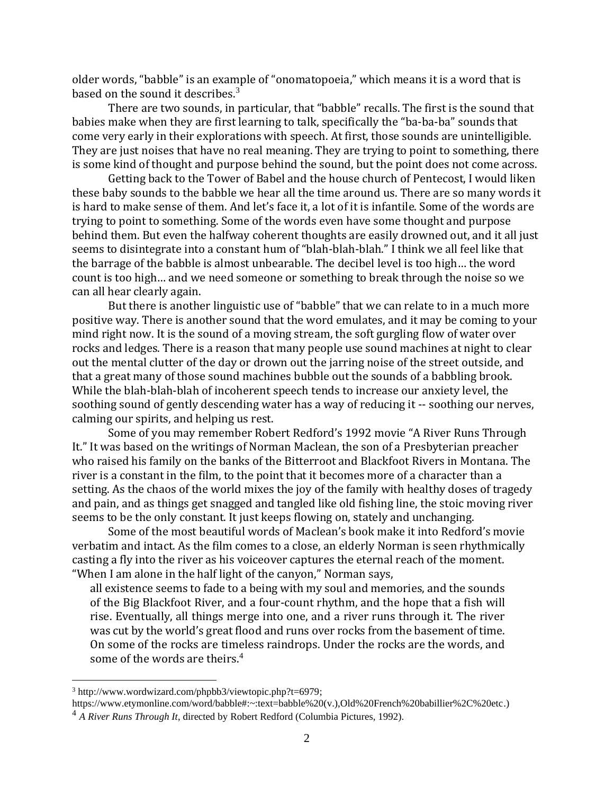older words, "babble" is an example of "onomatopoeia," which means it is a word that is based on the sound it describes. $3$ 

There are two sounds, in particular, that "babble" recalls. The first is the sound that babies make when they are first learning to talk, specifically the "ba-ba-ba" sounds that come very early in their explorations with speech. At first, those sounds are unintelligible. They are just noises that have no real meaning. They are trying to point to something, there is some kind of thought and purpose behind the sound, but the point does not come across.

Getting back to the Tower of Babel and the house church of Pentecost, I would liken these baby sounds to the babble we hear all the time around us. There are so many words it is hard to make sense of them. And let's face it, a lot of it is infantile. Some of the words are trying to point to something. Some of the words even have some thought and purpose behind them. But even the halfway coherent thoughts are easily drowned out, and it all just seems to disintegrate into a constant hum of "blah-blah-blah." I think we all feel like that the barrage of the babble is almost unbearable. The decibel level is too high… the word count is too high… and we need someone or something to break through the noise so we can all hear clearly again.

But there is another linguistic use of "babble" that we can relate to in a much more positive way. There is another sound that the word emulates, and it may be coming to your mind right now. It is the sound of a moving stream, the soft gurgling flow of water over rocks and ledges. There is a reason that many people use sound machines at night to clear out the mental clutter of the day or drown out the jarring noise of the street outside, and that a great many of those sound machines bubble out the sounds of a babbling brook. While the blah-blah-blah of incoherent speech tends to increase our anxiety level, the soothing sound of gently descending water has a way of reducing it -- soothing our nerves, calming our spirits, and helping us rest.

Some of you may remember Robert Redford's 1992 movie "A River Runs Through It." It was based on the writings of Norman Maclean, the son of a Presbyterian preacher who raised his family on the banks of the Bitterroot and Blackfoot Rivers in Montana. The river is a constant in the film, to the point that it becomes more of a character than a setting. As the chaos of the world mixes the joy of the family with healthy doses of tragedy and pain, and as things get snagged and tangled like old fishing line, the stoic moving river seems to be the only constant. It just keeps flowing on, stately and unchanging.

Some of the most beautiful words of Maclean's book make it into Redford's movie verbatim and intact. As the film comes to a close, an elderly Norman is seen rhythmically casting a fly into the river as his voiceover captures the eternal reach of the moment. "When I am alone in the half light of the canyon," Norman says,

all existence seems to fade to a being with my soul and memories, and the sounds of the Big Blackfoot River, and a four-count rhythm, and the hope that a fish will rise. Eventually, all things merge into one, and a river runs through it. The river was cut by the world's great flood and runs over rocks from the basement of time. On some of the rocks are timeless raindrops. Under the rocks are the words, and some of the words are theirs.<sup>4</sup>

 $3 \text{ http://www.wordwizard.com/phpbb3/viewtopic.php?t=6979};$ 

[https://www.etymonline.com/word/babble#:~:text=babble%20\(v.\),Old%20French%20babillier%2C%20etc.\)](https://www.etymonline.com/word/babble#:~:text=babble%20(v.),Old%20French%20babillier%2C%20etc) <sup>4</sup> *A River Runs Through It*, directed by Robert Redford (Columbia Pictures, 1992).